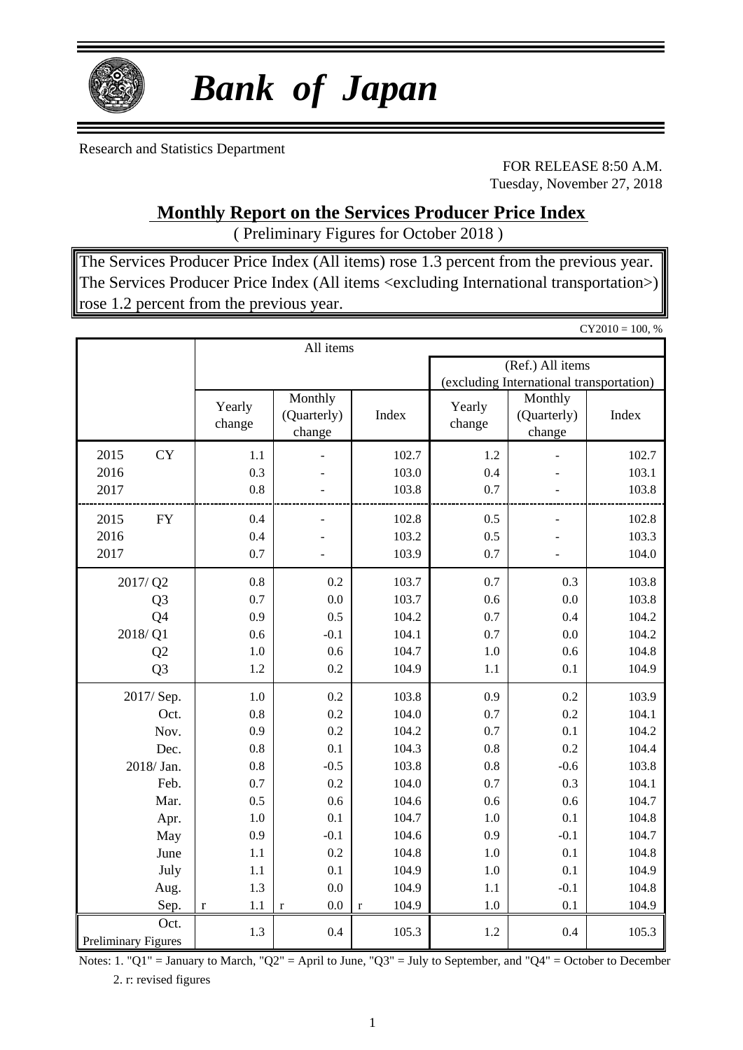

# *Bank of Japan*

Research and Statistics Department

FOR RELEASE 8:50 A.M. Tuesday, November 27, 2018

### **Monthly Report on the Services Producer Price Index**

( Preliminary Figures for October 2018 )

The Services Producer Price Index (All items) rose 1.3 percent from the previous year. The Services Producer Price Index (All items <excluding International transportation>) rose 1.2 percent from the previous year.

|                             |                  |                                  |                      |                  |                                          | $CY2010 = 100, %$ |
|-----------------------------|------------------|----------------------------------|----------------------|------------------|------------------------------------------|-------------------|
|                             |                  | All items                        |                      |                  |                                          |                   |
|                             |                  |                                  |                      |                  | (Ref.) All items                         |                   |
|                             |                  |                                  |                      |                  | (excluding International transportation) |                   |
|                             | Yearly<br>change | Monthly<br>(Quarterly)<br>change | Index                | Yearly<br>change | Monthly<br>(Quarterly)<br>change         | Index             |
| <b>CY</b><br>2015           | 1.1              |                                  | 102.7                | 1.2              |                                          | 102.7             |
| 2016                        | 0.3              |                                  | 103.0                | 0.4              |                                          | 103.1             |
| 2017                        | 0.8              |                                  | 103.8                | 0.7              |                                          | 103.8             |
| 2015<br>${\rm FY}$          | 0.4              |                                  | 102.8                | 0.5              |                                          | 102.8             |
| 2016                        | 0.4              |                                  | 103.2                | 0.5              |                                          | 103.3             |
| 2017                        | 0.7              |                                  | 103.9                | 0.7              |                                          | 104.0             |
| 2017/Q2                     | 0.8              | 0.2                              | 103.7                | 0.7              | 0.3                                      | 103.8             |
| Q <sub>3</sub>              | 0.7              | 0.0                              | 103.7                | 0.6              | 0.0                                      | 103.8             |
| Q4                          | 0.9              | 0.5                              | 104.2                | 0.7              | 0.4                                      | 104.2             |
| 2018/Q1                     | 0.6              | $-0.1$                           | 104.1                | 0.7              | 0.0                                      | 104.2             |
| Q2                          | 1.0              | 0.6                              | 104.7                | 1.0              | 0.6                                      | 104.8             |
| Q <sub>3</sub>              | 1.2              | 0.2                              | 104.9                | 1.1              | 0.1                                      | 104.9             |
| 2017/Sep.                   | 1.0              | 0.2                              | 103.8                | 0.9              | 0.2                                      | 103.9             |
| Oct.                        | 0.8              | 0.2                              | 104.0                | 0.7              | 0.2                                      | 104.1             |
| Nov.                        | 0.9              | 0.2                              | 104.2                | 0.7              | 0.1                                      | 104.2             |
| Dec.                        | 0.8              | 0.1                              | 104.3                | 0.8              | 0.2                                      | 104.4             |
| 2018/ Jan.                  | 0.8              | $-0.5$                           | 103.8                | 0.8              | $-0.6$                                   | 103.8             |
| Feb.                        | 0.7              | 0.2                              | 104.0                | 0.7              | 0.3                                      | 104.1             |
| Mar.                        | 0.5              | 0.6                              | 104.6                | 0.6              | 0.6                                      | 104.7             |
| Apr.                        | 1.0              | 0.1                              | 104.7                | 1.0              | 0.1                                      | 104.8             |
| May                         | 0.9              | $-0.1$                           | 104.6                | 0.9              | $-0.1$                                   | 104.7             |
| June                        | 1.1              | 0.2                              | 104.8                | 1.0              | 0.1                                      | 104.8             |
| July                        | 1.1              | 0.1                              | 104.9                | 1.0              | 0.1                                      | 104.9             |
| Aug.                        | 1.3              | 0.0                              | 104.9                | 1.1              | $-0.1$                                   | 104.8             |
| Sep.                        | 1.1<br>$\bf r$   | 0.0<br>$\mathbf r$               | 104.9<br>$\mathbf r$ | 1.0              | 0.1                                      | 104.9             |
| Oct.<br>Preliminary Figures | 1.3              | 0.4                              | 105.3                | 1.2              | 0.4                                      | 105.3             |
|                             |                  |                                  |                      |                  |                                          |                   |

Notes: 1. "Q1" = January to March, "Q2" = April to June, "Q3" = July to September, and "Q4" = October to December 2. r: revised figures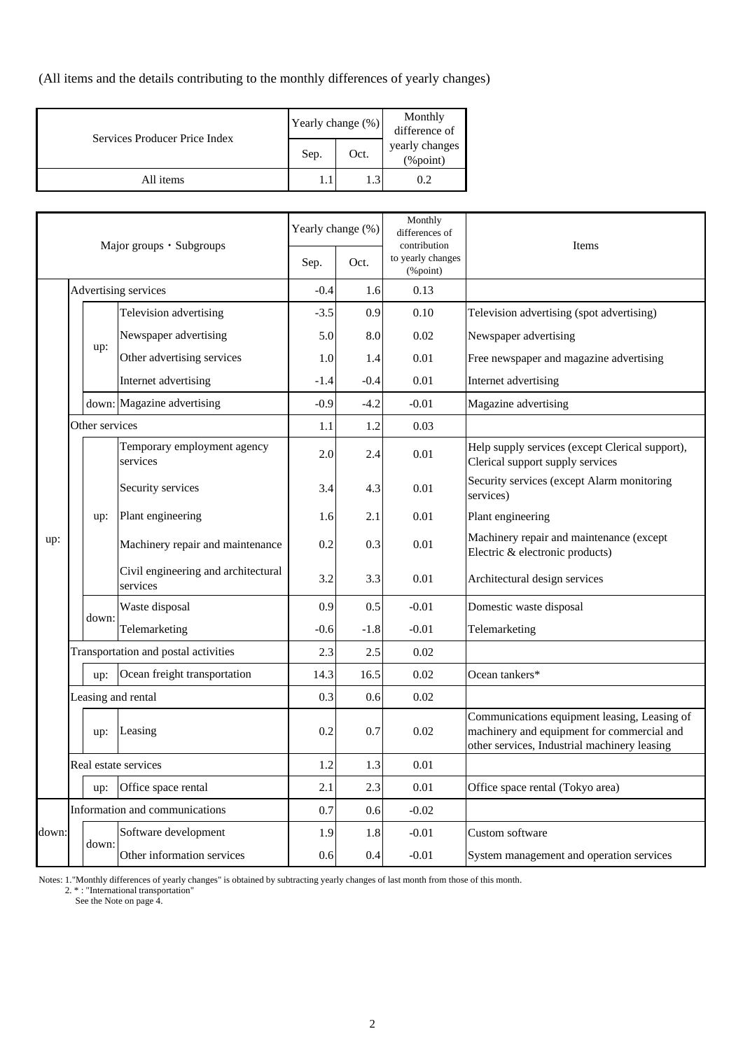(All items and the details contributing to the monthly differences of yearly changes)

| Services Producer Price Index | Yearly change (%) |      | Monthly<br>difference of                          |  |  |
|-------------------------------|-------------------|------|---------------------------------------------------|--|--|
|                               | Sep.              | Oct. | yearly changes<br>$(% \mathcal{L}_{0})$ (% point) |  |  |
| All items                     |                   | l .3 | 0.2                                               |  |  |

| Major groups · Subgroups |                      |                            | Yearly change (%)                               | Monthly<br>differences of<br>contribution | Items  |                               |                                                                                                                                            |
|--------------------------|----------------------|----------------------------|-------------------------------------------------|-------------------------------------------|--------|-------------------------------|--------------------------------------------------------------------------------------------------------------------------------------------|
|                          |                      |                            |                                                 | Sep.                                      | Oct.   | to yearly changes<br>(%point) |                                                                                                                                            |
|                          | Advertising services |                            | $-0.4$                                          | 1.6                                       | 0.13   |                               |                                                                                                                                            |
|                          |                      |                            | Television advertising                          | $-3.5$                                    | 0.9    | 0.10                          | Television advertising (spot advertising)                                                                                                  |
|                          |                      |                            | Newspaper advertising                           | 5.0                                       | 8.0    | 0.02                          | Newspaper advertising                                                                                                                      |
|                          |                      | up:                        | Other advertising services                      | 1.0                                       | 1.4    | 0.01                          | Free newspaper and magazine advertising                                                                                                    |
|                          |                      |                            | Internet advertising                            | -1.4                                      | $-0.4$ | 0.01                          | Internet advertising                                                                                                                       |
|                          |                      |                            | down: Magazine advertising                      | $-0.9$                                    | -4.2   | $-0.01$                       | Magazine advertising                                                                                                                       |
|                          |                      | Other services             |                                                 | 1.1                                       | 1.2    | 0.03                          |                                                                                                                                            |
|                          |                      |                            | Temporary employment agency<br>services         | 2.0                                       | 2.4    | 0.01                          | Help supply services (except Clerical support),<br>Clerical support supply services                                                        |
|                          |                      |                            | Security services                               | 3.4                                       | 4.3    | 0.01                          | Security services (except Alarm monitoring<br>services)                                                                                    |
|                          |                      | up:                        | Plant engineering                               | 1.6                                       | 2.1    | 0.01                          | Plant engineering                                                                                                                          |
| up:                      |                      |                            | Machinery repair and maintenance                | 0.2                                       | 0.3    | 0.01                          | Machinery repair and maintenance (except<br>Electric & electronic products)                                                                |
|                          |                      |                            | Civil engineering and architectural<br>services | 3.2                                       | 3.3    | 0.01                          | Architectural design services                                                                                                              |
|                          |                      | down:                      | Waste disposal                                  | 0.9                                       | 0.5    | $-0.01$                       | Domestic waste disposal                                                                                                                    |
|                          |                      |                            | Telemarketing                                   | -0.6                                      | -1.8   | $-0.01$                       | Telemarketing                                                                                                                              |
|                          |                      |                            | Transportation and postal activities            | 2.3                                       | 2.5    | 0.02                          |                                                                                                                                            |
|                          |                      | up:                        | Ocean freight transportation                    | 14.3                                      | 16.5   | 0.02                          | Ocean tankers*                                                                                                                             |
|                          |                      |                            | Leasing and rental                              | 0.3                                       | 0.6    | 0.02                          |                                                                                                                                            |
|                          |                      | Leasing<br>up:             |                                                 | 0.2                                       | 0.7    | 0.02                          | Communications equipment leasing, Leasing of<br>machinery and equipment for commercial and<br>other services, Industrial machinery leasing |
|                          |                      |                            | Real estate services                            | 1.2                                       | 1.3    | 0.01                          |                                                                                                                                            |
|                          |                      | Office space rental<br>up: |                                                 | 2.1                                       | 2.3    | 0.01                          | Office space rental (Tokyo area)                                                                                                           |
|                          |                      |                            | Information and communications                  | 0.7                                       | 0.6    | $-0.02$                       |                                                                                                                                            |
| down:                    |                      | down:                      | Software development                            | 1.9                                       | 1.8    | $-0.01$                       | Custom software                                                                                                                            |
|                          |                      |                            | Other information services                      | 0.6                                       | 0.4    | $-0.01$                       | System management and operation services                                                                                                   |

Notes: 1."Monthly differences of yearly changes" is obtained by subtracting yearly changes of last month from those of this month.

2. \* : "International transportation"

See the Note on page 4.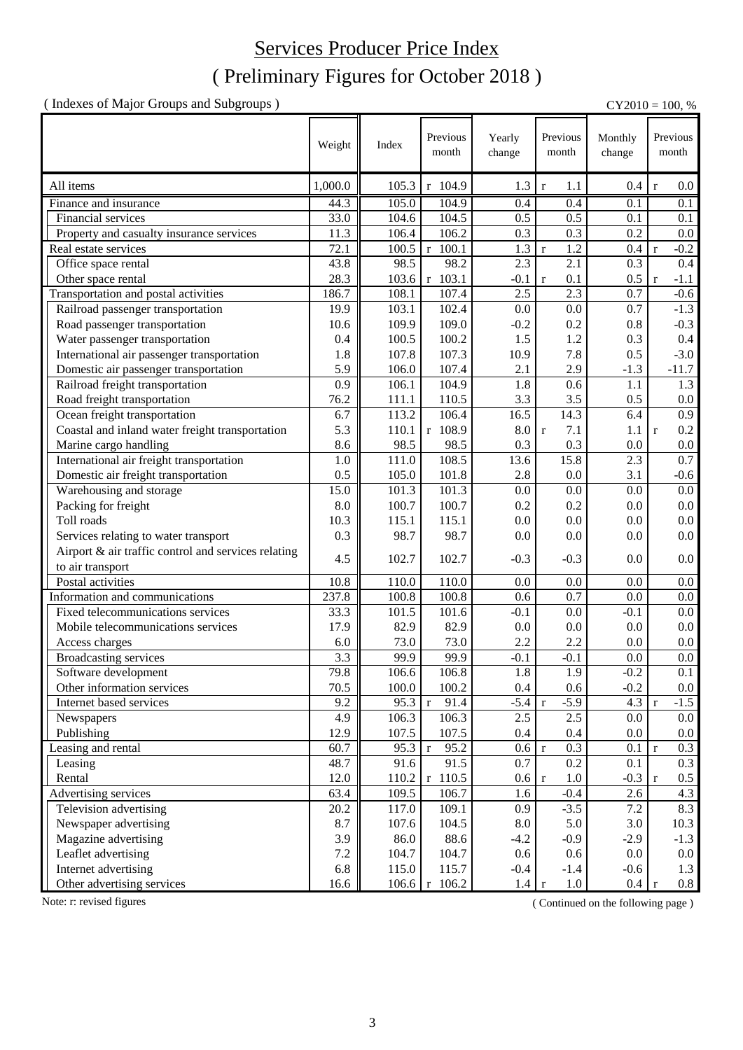### ( Preliminary Figures for October 2018 ) Services Producer Price Index

( Indexes of Major Groups and Subgroups ) CY2010 = 100, %

|                                                     | Weight  | Index | Previous<br>month         | Yearly<br>change | Previous<br>month       | Monthly<br>change | Previous<br>month       |
|-----------------------------------------------------|---------|-------|---------------------------|------------------|-------------------------|-------------------|-------------------------|
| All items                                           | 1,000.0 | 105.3 | r 104.9                   | 1.3              | 1.1<br>$\mathbf r$      | 0.4               | $0.0\,$<br>$\mathbf r$  |
| Finance and insurance                               | 44.3    | 105.0 | 104.9                     | 0.4              | 0.4                     | 0.1               | 0.1                     |
| Financial services                                  | 33.0    | 104.6 | 104.5                     | 0.5              | 0.5                     | 0.1               | 0.1                     |
| Property and casualty insurance services            | 11.3    | 106.4 | 106.2                     | 0.3              | 0.3                     | 0.2               | 0.0                     |
| Real estate services                                | 72.1    | 100.5 | $r$ 100.1                 | 1.3              | 1.2<br>$\mathbf r$      | 0.4               | $-0.2$<br>$\mathbf{r}$  |
| Office space rental                                 | 43.8    | 98.5  | 98.2                      | 2.3              | 2.1                     | 0.3               | $0.4\,$                 |
| Other space rental                                  | 28.3    | 103.6 | r 103.1                   | $-0.1$           | 0.1<br>$\mathbf{r}$     | 0.5               | $-1.1$<br>$\mathbf{r}$  |
| Transportation and postal activities                | 186.7   | 108.1 | 107.4                     | 2.5              | 2.3                     | 0.7               | $-0.6$                  |
| Railroad passenger transportation                   | 19.9    | 103.1 | 102.4                     | 0.0              | 0.0                     | 0.7               | $-1.3$                  |
| Road passenger transportation                       | 10.6    | 109.9 | 109.0                     | $-0.2$           | 0.2                     | 0.8               | $-0.3$                  |
| Water passenger transportation                      | 0.4     | 100.5 | 100.2                     | 1.5              | 1.2                     | 0.3               | $0.4\,$                 |
| International air passenger transportation          | 1.8     | 107.8 | 107.3                     | 10.9             | 7.8                     | 0.5               | $-3.0$                  |
| Domestic air passenger transportation               | 5.9     | 106.0 | 107.4                     | 2.1              | 2.9                     | $-1.3$            | $-11.7$                 |
| Railroad freight transportation                     | 0.9     | 106.1 | 104.9                     | 1.8              | 0.6                     | 1.1               | 1.3                     |
| Road freight transportation                         | 76.2    | 111.1 | 110.5                     | 3.3              | 3.5                     | 0.5               | $0.0\,$                 |
| Ocean freight transportation                        | 6.7     | 113.2 | 106.4                     | 16.5             | 14.3                    | 6.4               | 0.9                     |
| Coastal and inland water freight transportation     | 5.3     | 110.1 | r 108.9                   | $8.0\,$          | 7.1<br>$\mathbf{r}$     | 1.1               | 0.2<br>$\mathbf{r}$     |
| Marine cargo handling                               | 8.6     | 98.5  | 98.5                      | 0.3              | 0.3                     | 0.0               | $0.0\,$                 |
| International air freight transportation            | 1.0     | 111.0 | 108.5                     | 13.6             | 15.8                    | 2.3               | 0.7                     |
| Domestic air freight transportation                 | 0.5     | 105.0 | 101.8                     | 2.8              | 0.0                     | 3.1               | $-0.6$                  |
| Warehousing and storage                             | 15.0    | 101.3 | 101.3                     | 0.0              | 0.0                     | 0.0               | 0.0                     |
| Packing for freight                                 | 8.0     | 100.7 | 100.7                     | 0.2              | 0.2                     | 0.0               | $0.0\,$                 |
| Toll roads                                          | 10.3    | 115.1 | 115.1                     | 0.0              | 0.0                     | 0.0               | $0.0\,$                 |
| Services relating to water transport                | 0.3     | 98.7  | 98.7                      | 0.0              | 0.0                     | 0.0               | $0.0\,$                 |
| Airport & air traffic control and services relating | 4.5     | 102.7 | 102.7                     | $-0.3$           | $-0.3$                  | 0.0               | 0.0                     |
| to air transport                                    |         |       |                           |                  |                         |                   |                         |
| Postal activities                                   | 10.8    | 110.0 | 110.0                     | 0.0              | 0.0                     | 0.0               | $0.0\,$                 |
| Information and communications                      | 237.8   | 100.8 | 100.8                     | 0.6              | 0.7                     | 0.0               | $0.0\,$                 |
| Fixed telecommunications services                   | 33.3    | 101.5 | 101.6                     | $-0.1$           | 0.0                     | $-0.1$            | $0.0\,$                 |
| Mobile telecommunications services                  | 17.9    | 82.9  | 82.9                      | 0.0              | 0.0                     | 0.0               | $0.0\,$                 |
| Access charges                                      | 6.0     | 73.0  | 73.0                      | 2.2              | 2.2                     | 0.0               | 0.0                     |
| <b>Broadcasting services</b>                        | 3.3     | 99.9  | 99.9                      | $-0.1$           | $-0.1$                  | 0.0               | $0.0\,$                 |
| Software development                                | 79.8    | 106.6 | 106.8                     | 1.8              | 1.9                     | $-0.2$            | $\overline{0.1}$        |
| Other information services                          | 70.5    | 100.0 | 100.2                     | $0.4\,$          | 0.6                     | $-0.2$            | $0.0\,$                 |
| Internet based services                             | 9.2     | 95.3  | 91.4<br>$\mathbf r$       | $-5.4$           | $-5.9$<br>$\mathbf r$   | 4.3               | $-1.5$<br>$\mathbf{r}$  |
| Newspapers                                          | 4.9     | 106.3 | 106.3                     | 2.5              | 2.5                     | 0.0               | $0.0\,$                 |
| Publishing                                          | 12.9    | 107.5 | 107.5                     | $0.4\,$          | 0.4                     | 0.0               | $0.0\,$                 |
| Leasing and rental                                  | 60.7    | 95.3  | 95.2<br>$\mathbf r$       | 0.6 r            | 0.3                     | 0.1               | 0.3<br>$\mathbf r$      |
| Leasing                                             | 48.7    | 91.6  | 91.5                      | 0.7              | $0.2\,$                 | 0.1               | 0.3                     |
| Rental                                              | 12.0    | 110.2 | $r$ 110.5                 | 0.6 <sub>1</sub> | 1.0<br>$\mathbf r$      | $-0.3$            | $0.5\,$<br>$\mathbf{r}$ |
| Advertising services                                | 63.4    | 109.5 | 106.7                     | 1.6              | $-0.4$                  | 2.6               | 4.3                     |
| Television advertising                              | 20.2    | 117.0 | 109.1                     | 0.9              | $-3.5$                  | 7.2               | 8.3                     |
| Newspaper advertising                               | 8.7     | 107.6 | 104.5                     | 8.0              | 5.0                     | 3.0               | 10.3                    |
| Magazine advertising                                | 3.9     | 86.0  | 88.6                      | $-4.2$           | $-0.9$                  | $-2.9$            | $-1.3$                  |
| Leaflet advertising                                 | 7.2     | 104.7 | 104.7                     | 0.6              | 0.6                     | 0.0               | $0.0\,$                 |
| Internet advertising                                | 6.8     | 115.0 | 115.7                     | $-0.4$           | $-1.4$                  | $-0.6$            | 1.3                     |
| Other advertising services                          | 16.6    |       | $106.6 \mid r \mid 106.2$ | 1.4              | $1.0\,$<br>$\mathbf{r}$ | 0.4               | 0.8                     |

Note: r: revised figures (Continued on the following page)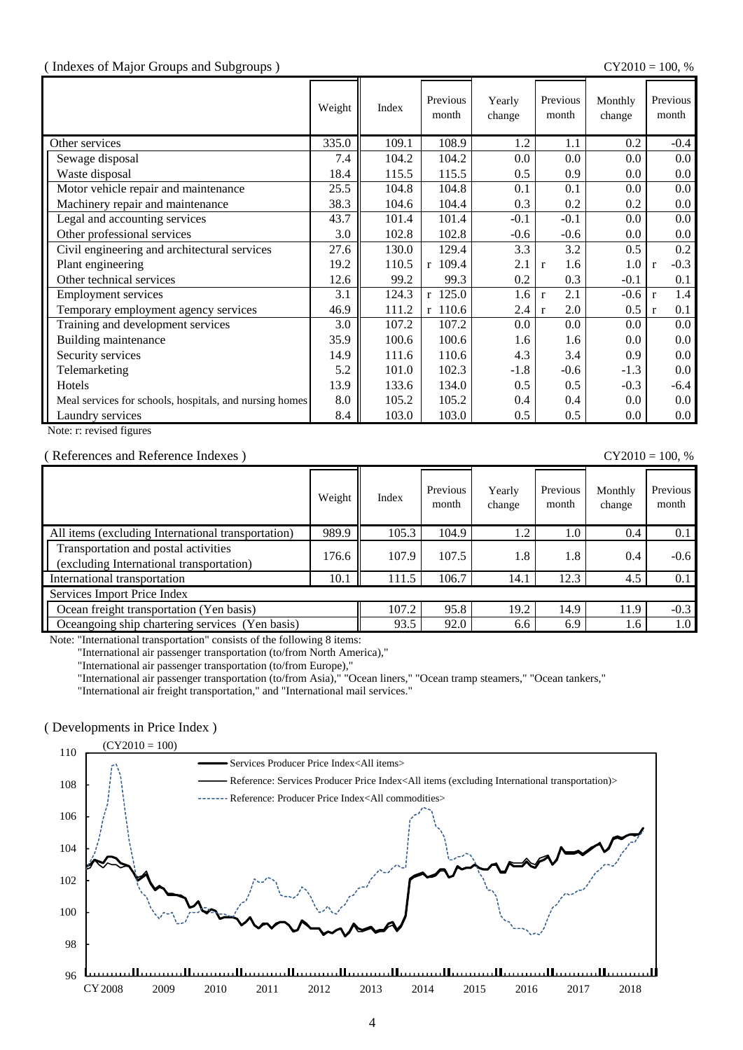#### ( Indexes of Major Groups and Subgroups ) CY2010 = 100, %

|                                                         | Weight | Index | Previous<br>month | Yearly<br>change | Previous<br>month   | Monthly<br>change | Previous<br>month      |
|---------------------------------------------------------|--------|-------|-------------------|------------------|---------------------|-------------------|------------------------|
| Other services                                          | 335.0  | 109.1 | 108.9             | 1.2              | 1.1                 | 0.2               | $-0.4$                 |
| Sewage disposal                                         | 7.4    | 104.2 | 104.2             | 0.0              | 0.0                 | 0.0               | $0.0\,$                |
| Waste disposal                                          | 18.4   | 115.5 | 115.5             | 0.5              | 0.9                 | 0.0               | $0.0\,$                |
| Motor vehicle repair and maintenance                    | 25.5   | 104.8 | 104.8             | 0.1              | 0.1                 | 0.0               | $0.0\,$                |
| Machinery repair and maintenance                        | 38.3   | 104.6 | 104.4             | 0.3              | 0.2                 | 0.2               | $0.0\,$                |
| Legal and accounting services                           | 43.7   | 101.4 | 101.4             | $-0.1$           | $-0.1$              | 0.0               | $0.0\,$                |
| Other professional services                             | 3.0    | 102.8 | 102.8             | $-0.6$           | $-0.6$              | $0.0\,$           | $0.0\,$                |
| Civil engineering and architectural services            | 27.6   | 130.0 | 129.4             | 3.3              | 3.2                 | 0.5               | 0.2                    |
| Plant engineering                                       | 19.2   | 110.5 | $r$ 109.4         | 2.1              | 1.6<br>$\mathbf{r}$ | 1.0               | $-0.3$<br>$\mathbf{r}$ |
| Other technical services                                | 12.6   | 99.2  | 99.3              | 0.2              | 0.3                 | $-0.1$            | 0.1                    |
| Employment services                                     | 3.1    | 124.3 | $r$ 125.0         | 1.6              | 2.1<br>$\mathbf{r}$ | $-0.6$            | 1.4<br>$\mathbf{r}$    |
| Temporary employment agency services                    | 46.9   | 111.2 | r 110.6           | 2.4              | 2.0<br>$\mathbf{r}$ | $0.5\,$           | 0.1<br>$\mathbf{r}$    |
| Training and development services                       | 3.0    | 107.2 | 107.2             | 0.0              | 0.0                 | 0.0               | $0.0\,$                |
| Building maintenance                                    | 35.9   | 100.6 | 100.6             | 1.6              | 1.6                 | 0.0               | $0.0\,$                |
| Security services                                       | 14.9   | 111.6 | 110.6             | 4.3              | 3.4                 | 0.9               | $0.0\,$                |
| Telemarketing                                           | 5.2    | 101.0 | 102.3             | $-1.8$           | $-0.6$              | $-1.3$            | $0.0\,$                |
| Hotels                                                  | 13.9   | 133.6 | 134.0             | 0.5              | 0.5                 | $-0.3$            | $-6.4$                 |
| Meal services for schools, hospitals, and nursing homes | 8.0    | 105.2 | 105.2             | 0.4              | 0.4                 | 0.0               | $0.0\,$                |
| Laundry services                                        | 8.4    | 103.0 | 103.0             | 0.5              | 0.5                 | $0.0\,$           | $0.0\,$                |

Note: r: revised figures

#### ( References and Reference Indexes ) CY2010 = 100, %

| Weight                                   | Index | Previous<br>month | Yearly<br>change | Previous<br>month | Monthly<br>change | Previous<br>month |
|------------------------------------------|-------|-------------------|------------------|-------------------|-------------------|-------------------|
| 989.9                                    | 105.3 | 104.9             | 1.2              | 1.0               | 0.4               | 0.1               |
| 176.6                                    | 107.9 | 107.5             | 1.8              | 1.8               | 0.4               | $-0.6$            |
| 10.1                                     | 111.5 | 106.7             | 14.1             | 12.3              | 4.5               | 0.1               |
|                                          |       |                   |                  |                   |                   |                   |
| Ocean freight transportation (Yen basis) |       |                   | 19.2             | 14.9              | 11.9              | $-0.3$            |
|                                          | 93.5  | 92.0              | 6.6              | 6.9               | 1.6               | 1.0               |
|                                          |       | 107.2             | 95.8             |                   |                   |                   |

Note: "International transportation" consists of the following 8 items:

"International air passenger transportation (to/from North America),"

"International air passenger transportation (to/from Europe),"

"International air passenger transportation (to/from Asia)," "Ocean liners," "Ocean tramp steamers," "Ocean tankers,"

"International air freight transportation," and "International mail services."

#### ( Developments in Price Index )